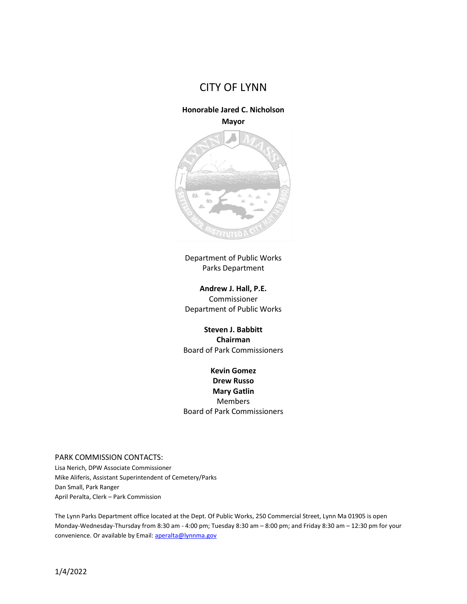

## **Honorable Jared C. Nicholson**

**Mayor**



Department of Public Works Parks Department

**Andrew J. Hall, P.E.**  Commissioner Department of Public Works

**Steven J. Babbitt Chairman** Board of Park Commissioners

**Kevin Gomez Drew Russo Mary Gatlin** Members Board of Park Commissioners

## PARK COMMISSION CONTACTS:

Lisa Nerich, DPW Associate Commissioner Mike Aliferis, Assistant Superintendent of Cemetery/Parks Dan Small, Park Ranger April Peralta, Clerk – Park Commission

The Lynn Parks Department office located at the Dept. Of Public Works, 250 Commercial Street, Lynn Ma 01905 is open Monday-Wednesday-Thursday from 8:30 am - 4:00 pm; Tuesday 8:30 am – 8:00 pm; and Friday 8:30 am – 12:30 pm for your convenience. Or available by Email[: aperalta@lynnma.gov](mailto:aperalta@lynnma.gov)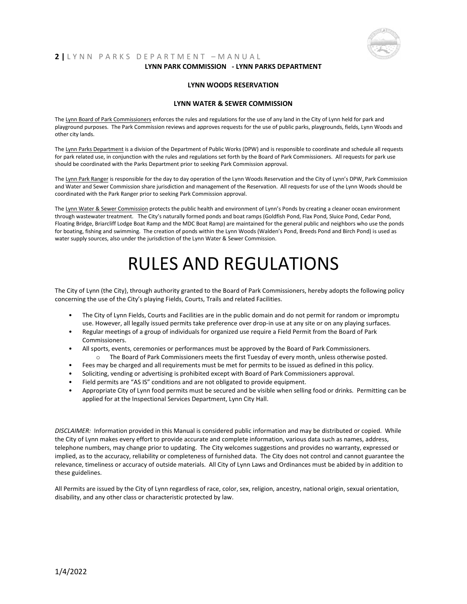

## **2 |** L Y N N P A R K S D E P A R T M E N T – M A N U A L **LYNN PARK COMMISSION - LYNN PARKS DEPARTMENT**

#### **LYNN WOODS RESERVATION**

#### **LYNN WATER & SEWER COMMISSION**

The Lynn Board of Park Commissioners enforces the rules and regulations for the use of any land in the City of Lynn held for park and playground purposes. The Park Commission reviews and approves requests for the use of public parks, playgrounds, fields, Lynn Woods and other city lands.

The Lynn Parks Department is a division of the Department of Public Works (DPW) and is responsible to coordinate and schedule all requests for park related use, in conjunction with the rules and regulations set forth by the Board of Park Commissioners. All requests for park use should be coordinated with the Parks Department prior to seeking Park Commission approval.

The Lynn Park Ranger is responsible for the day to day operation of the Lynn Woods Reservation and the City of Lynn's DPW, Park Commission and Water and Sewer Commission share jurisdiction and management of the Reservation. All requests for use of the Lynn Woods should be coordinated with the Park Ranger prior to seeking Park Commission approval.

The Lynn Water & Sewer Commission protects the public health and environment of Lynn's Ponds by creating a cleaner ocean environment through wastewater treatment. The City's naturally formed ponds and boat ramps (Goldfish Pond, Flax Pond, Sluice Pond, Cedar Pond, Floating Bridge, Briarcliff Lodge Boat Ramp and the MDC Boat Ramp) are maintained for the general public and neighbors who use the ponds for boating, fishing and swimming. The creation of ponds within the Lynn Woods (Walden's Pond, Breeds Pond and Birch Pond) is used as water supply sources, also under the jurisdiction of the Lynn Water & Sewer Commission.

# RULES AND REGULATIONS

The City of Lynn (the City), through authority granted to the Board of Park Commissioners, hereby adopts the following policy concerning the use of the City's playing Fields, Courts, Trails and related Facilities.

- The City of Lynn Fields, Courts and Facilities are in the public domain and do not permit for random or impromptu use. However, all legally issued permits take preference over drop-in use at any site or on any playing surfaces.
- Regular meetings of a group of individuals for organized use require a Field Permit from the Board of Park Commissioners.
- All sports, events, ceremonies or performances must be approved by the Board of Park Commissioners. o The Board of Park Commissioners meets the first Tuesday of every month, unless otherwise posted.
- 
- Fees may be charged and all requirements must be met for permits to be issued as defined in this policy.
- Soliciting, vending or advertising is prohibited except with Board of Park Commissioners approval.
- Field permits are "AS IS" conditions and are not obligated to provide equipment.
- Appropriate City of Lynn food permits must be secured and be visible when selling food or drinks. Permitting can be applied for at the Inspectional Services Department, Lynn City Hall.

*DISCLAIMER:* Information provided in this Manual is considered public information and may be distributed or copied. While the City of Lynn makes every effort to provide accurate and complete information, various data such as names, address, telephone numbers, may change prior to updating. The City welcomes suggestions and provides no warranty, expressed or implied, as to the accuracy, reliability or completeness of furnished data. The City does not control and cannot guarantee the relevance, timeliness or accuracy of outside materials. All City of Lynn Laws and Ordinances must be abided by in addition to these guidelines.

All Permits are issued by the City of Lynn regardless of race, color, sex, religion, ancestry, national origin, sexual orientation, disability, and any other class or characteristic protected by law.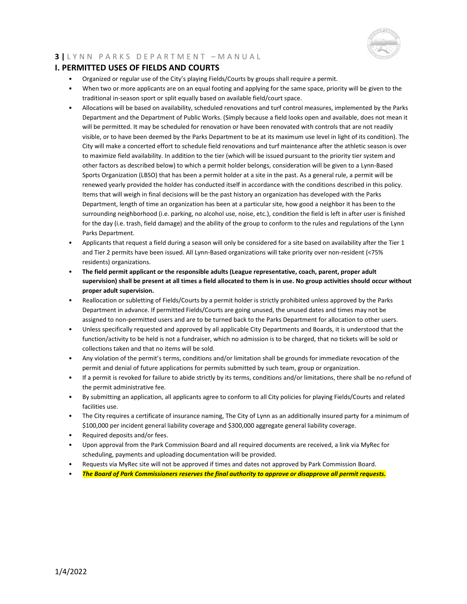

## **I. PERMITTED USES OF FIELDS AND COURTS**

- Organized or regular use of the City's playing Fields/Courts by groups shall require a permit.
- When two or more applicants are on an equal footing and applying for the same space, priority will be given to the traditional in-season sport or split equally based on available field/court space.
- Allocations will be based on availability, scheduled renovations and turf control measures, implemented by the Parks Department and the Department of Public Works. (Simply because a field looks open and available, does not mean it will be permitted. It may be scheduled for renovation or have been renovated with controls that are not readily visible, or to have been deemed by the Parks Department to be at its maximum use level in light of its condition). The City will make a concerted effort to schedule field renovations and turf maintenance after the athletic season is over to maximize field availability. In addition to the tier (which will be issued pursuant to the priority tier system and other factors as described below) to which a permit holder belongs, consideration will be given to a Lynn-Based Sports Organization (LBSO) that has been a permit holder at a site in the past. As a general rule, a permit will be renewed yearly provided the holder has conducted itself in accordance with the conditions described in this policy. Items that will weigh in final decisions will be the past history an organization has developed with the Parks Department, length of time an organization has been at a particular site, how good a neighbor it has been to the surrounding neighborhood (i.e. parking, no alcohol use, noise, etc.), condition the field is left in after user is finished for the day (i.e. trash, field damage) and the ability of the group to conform to the rules and regulations of the Lynn Parks Department.
- Applicants that request a field during a season will only be considered for a site based on availability after the Tier 1 and Tier 2 permits have been issued. All Lynn-Based organizations will take priority over non-resident (<75% residents) organizations.
- **The field permit applicant or the responsible adults (League representative, coach, parent, proper adult supervision) shall be present at all times a field allocated to them is in use. No group activities should occur without proper adult supervision.**
- Reallocation or subletting of Fields/Courts by a permit holder is strictly prohibited unless approved by the Parks Department in advance. If permitted Fields/Courts are going unused, the unused dates and times may not be assigned to non-permitted users and are to be turned back to the Parks Department for allocation to other users.
- Unless specifically requested and approved by all applicable City Departments and Boards, it is understood that the function/activity to be held is not a fundraiser, which no admission is to be charged, that no tickets will be sold or collections taken and that no items will be sold.
- Any violation of the permit's terms, conditions and/or limitation shall be grounds for immediate revocation of the permit and denial of future applications for permits submitted by such team, group or organization.
- If a permit is revoked for failure to abide strictly by its terms, conditions and/or limitations, there shall be no refund of the permit administrative fee.
- By submitting an application, all applicants agree to conform to all City policies for playing Fields/Courts and related facilities use.
- The City requires a certificate of insurance naming, The City of Lynn as an additionally insured party for a minimum of \$100,000 per incident general liability coverage and \$300,000 aggregate general liability coverage.
- Required deposits and/or fees.
- Upon approval from the Park Commission Board and all required documents are received, a link via MyRec for scheduling, payments and uploading documentation will be provided.
- Requests via MyRec site will not be approved if times and dates not approved by Park Commission Board.
- *The Board of Park Commissioners reserves the final authority to approve or disapprove all permit requests.*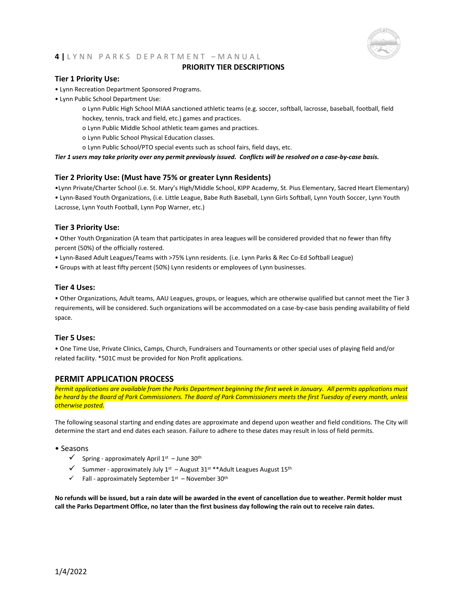

## **PRIORITY TIER DESCRIPTIONS**

## **Tier 1 Priority Use:**

- Lynn Recreation Department Sponsored Programs.
- Lynn Public School Department Use:
	- o Lynn Public High School MIAA sanctioned athletic teams (e.g. soccer, softball, lacrosse, baseball, football, field hockey, tennis, track and field, etc.) games and practices.
	- o Lynn Public Middle School athletic team games and practices.
	- o Lynn Public School Physical Education classes.
	- o Lynn Public School/PTO special events such as school fairs, field days, etc.

*Tier 1 users may take priority over any permit previously issued. Conflicts will be resolved on a case-by-case basis.*

#### **Tier 2 Priority Use: (Must have 75% or greater Lynn Residents)**

•Lynn Private/Charter School (i.e. St. Mary's High/Middle School, KIPP Academy, St. Pius Elementary, Sacred Heart Elementary) • Lynn-Based Youth Organizations, (i.e. Little League, Babe Ruth Baseball, Lynn Girls Softball, Lynn Youth Soccer, Lynn Youth

Lacrosse, Lynn Youth Football, Lynn Pop Warner, etc.)

#### **Tier 3 Priority Use:**

• Other Youth Organization (A team that participates in area leagues will be considered provided that no fewer than fifty percent (50%) of the officially rostered.

- Lynn-Based Adult Leagues/Teams with >75% Lynn residents. (i.e. Lynn Parks & Rec Co-Ed Softball League)
- Groups with at least fifty percent (50%) Lynn residents or employees of Lynn businesses.

#### **Tier 4 Uses:**

• Other Organizations, Adult teams, AAU Leagues, groups, or leagues, which are otherwise qualified but cannot meet the Tier 3 requirements, will be considered. Such organizations will be accommodated on a case-by-case basis pending availability of field space.

#### **Tier 5 Uses:**

• One Time Use, Private Clinics, Camps, Church, Fundraisers and Tournaments or other special uses of playing field and/or related facility. \*501C must be provided for Non Profit applications.

## **PERMIT APPLICATION PROCESS**

*Permit applications are available from the Parks Department beginning the first week in January. All permits applications must be heard by the Board of Park Commissioners. The Board of Park Commissioners meets the first Tuesday of every month, unless otherwise posted.*

The following seasonal starting and ending dates are approximate and depend upon weather and field conditions. The City will determine the start and end dates each season. Failure to adhere to these dates may result in loss of field permits.

#### • Seasons

- $\checkmark$  Spring approximately April 1st June 30<sup>th</sup>
- $\checkmark$  Summer approximately July 1st August 31st \*\* Adult Leagues August 15<sup>th</sup>
- $\checkmark$  Fall approximately September 1st November 30<sup>th</sup>

**No refunds will be issued, but a rain date will be awarded in the event of cancellation due to weather. Permit holder must call the Parks Department Office, no later than the first business day following the rain out to receive rain dates.**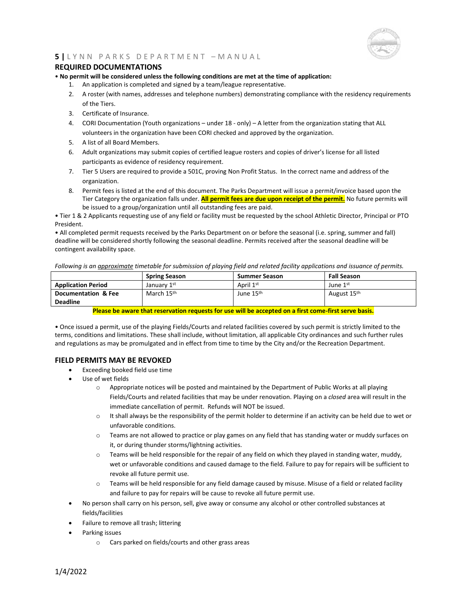

## **REQUIRED DOCUMENTATIONS**

• **No permit will be considered unless the following conditions are met at the time of application:**

- 1. An application is completed and signed by a team/league representative.
- 2. A roster (with names, addresses and telephone numbers) demonstrating compliance with the residency requirements of the Tiers.
- 3. Certificate of Insurance.
- 4. CORI Documentation (Youth organizations under 18 only) A letter from the organization stating that ALL volunteers in the organization have been CORI checked and approved by the organization.
- 5. A list of all Board Members.
- 6. Adult organizations may submit copies of certified league rosters and copies of driver's license for all listed participants as evidence of residency requirement.
- 7. Tier 5 Users are required to provide a 501C, proving Non Profit Status. In the correct name and address of the organization.
- 8. Permit fees is listed at the end of this document. The Parks Department will issue a permit/invoice based upon the Tier Category the organization falls under. **All permit fees are due upon receipt of the permit.** No future permits will be issued to a group/organization until all outstanding fees are paid.

• Tier 1 & 2 Applicants requesting use of any field or facility must be requested by the school Athletic Director, Principal or PTO President.

• All completed permit requests received by the Parks Department on or before the seasonal (i.e. spring, summer and fall) deadline will be considered shortly following the seasonal deadline. Permits received after the seasonal deadline will be contingent availability space.

*Following is an approximate timetable for submission of playing field and related facility applications and issuance of permits.*

|                           | <b>Spring Season</b>   | <b>Summer Season</b>  | <b>Fall Season</b>      |
|---------------------------|------------------------|-----------------------|-------------------------|
| <b>Application Period</b> | January 1st            | April 1st             | June 1 <sup>st</sup>    |
| Documentation & Fee       | March 15 <sup>th</sup> | June 15 <sup>th</sup> | August 15 <sup>th</sup> |
| <b>Deadline</b>           |                        |                       |                         |

#### **Please be aware that reservation requests for use will be accepted on a first come-first serve basis.**

• Once issued a permit, use of the playing Fields/Courts and related facilities covered by such permit is strictly limited to the terms, conditions and limitations. These shall include, without limitation, all applicable City ordinances and such further rules and regulations as may be promulgated and in effect from time to time by the City and/or the Recreation Department.

## **FIELD PERMITS MAY BE REVOKED**

- Exceeding booked field use time
- Use of wet fields
	- $\circ$  Appropriate notices will be posted and maintained by the Department of Public Works at all playing Fields/Courts and related facilities that may be under renovation. Playing on a *closed* area will result in the immediate cancellation of permit. Refunds will NOT be issued.
	- $\circ$  It shall always be the responsibility of the permit holder to determine if an activity can be held due to wet or unfavorable conditions.
	- o Teams are not allowed to practice or play games on any field that has standing water or muddy surfaces on it, or during thunder storms/lightning activities.
	- $\circ$  Teams will be held responsible for the repair of any field on which they played in standing water, muddy, wet or unfavorable conditions and caused damage to the field. Failure to pay for repairs will be sufficient to revoke all future permit use.
	- $\circ$  Teams will be held responsible for any field damage caused by misuse. Misuse of a field or related facility and failure to pay for repairs will be cause to revoke all future permit use.
- No person shall carry on his person, sell, give away or consume any alcohol or other controlled substances at fields/facilities
- Failure to remove all trash; littering
- Parking issues
	- o Cars parked on fields/courts and other grass areas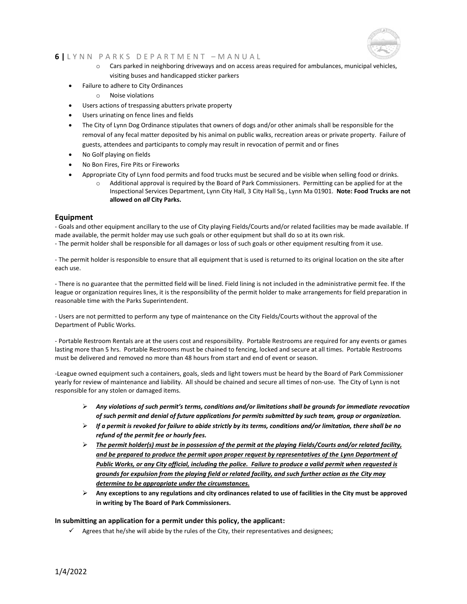

- o Cars parked in neighboring driveways and on access areas required for ambulances, municipal vehicles, visiting buses and handicapped sticker parkers
- Failure to adhere to City Ordinances
	- o Noise violations
- Users actions of trespassing abutters private property
- Users urinating on fence lines and fields
- The City of Lynn Dog Ordinance stipulates that owners of dogs and/or other animals shall be responsible for the removal of any fecal matter deposited by his animal on public walks, recreation areas or private property. Failure of guests, attendees and participants to comply may result in revocation of permit and or fines
- No Golf playing on fields
- No Bon Fires, Fire Pits or Fireworks
	- Appropriate City of Lynn food permits and food trucks must be secured and be visible when selling food or drinks.
		- o Additional approval is required by the Board of Park Commissioners. Permitting can be applied for at the Inspectional Services Department, Lynn City Hall, 3 City Hall Sq., Lynn Ma 01901. **Note: Food Trucks are not allowed on** *all* **City Parks.**

#### **Equipment**

- Goals and other equipment ancillary to the use of City playing Fields/Courts and/or related facilities may be made available. If made available, the permit holder may use such goals or other equipment but shall do so at its own risk.

- The permit holder shall be responsible for all damages or loss of such goals or other equipment resulting from it use.

- The permit holder is responsible to ensure that all equipment that is used is returned to its original location on the site after each use.

- There is no guarantee that the permitted field will be lined. Field lining is not included in the administrative permit fee. If the league or organization requires lines, it is the responsibility of the permit holder to make arrangements for field preparation in reasonable time with the Parks Superintendent.

- Users are not permitted to perform any type of maintenance on the City Fields/Courts without the approval of the Department of Public Works.

- Portable Restroom Rentals are at the users cost and responsibility. Portable Restrooms are required for any events or games lasting more than 5 hrs. Portable Restrooms must be chained to fencing, locked and secure at all times. Portable Restrooms must be delivered and removed no more than 48 hours from start and end of event or season.

-League owned equipment such a containers, goals, sleds and light towers must be heard by the Board of Park Commissioner yearly for review of maintenance and liability. All should be chained and secure all times of non-use. The City of Lynn is not responsible for any stolen or damaged items.

- ➢ *Any violations of such permit's terms, conditions and/or limitations shall be grounds for immediate revocation of such permit and denial of future applications for permits submitted by such team, group or organization.*
- ➢ *If a permit is revoked for failure to abide strictly by its terms, conditions and/or limitation, there shall be no refund of the permit fee or hourly fees.*
- ➢ *The permit holder(s) must be in possession of the permit at the playing Fields/Courts and/or related facility, and be prepared to produce the permit upon proper request by representatives of the Lynn Department of Public Works, or any City official, including the police. Failure to produce a valid permit when requested is grounds for expulsion from the playing field or related facility, and such further action as the City may determine to be appropriate under the circumstances.*
- ➢ **Any exceptions to any regulations and city ordinances related to use of facilities in the City must be approved in writing by The Board of Park Commissioners.**

#### **In submitting an application for a permit under this policy, the applicant:**

 $\checkmark$  Agrees that he/she will abide by the rules of the City, their representatives and designees;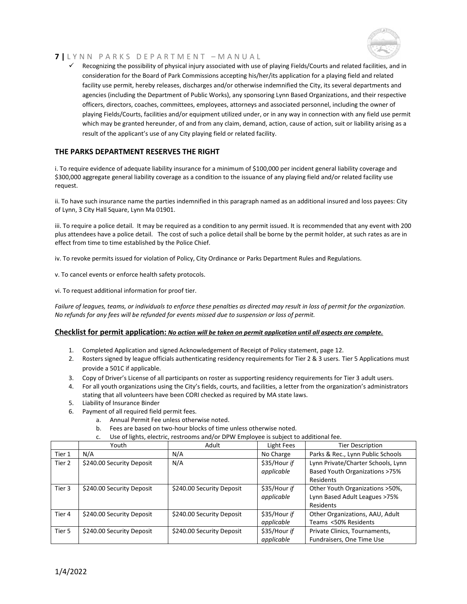

✓ Recognizing the possibility of physical injury associated with use of playing Fields/Courts and related facilities, and in consideration for the Board of Park Commissions accepting his/her/its application for a playing field and related facility use permit, hereby releases, discharges and/or otherwise indemnified the City, its several departments and agencies (including the Department of Public Works), any sponsoring Lynn Based Organizations, and their respective officers, directors, coaches, committees, employees, attorneys and associated personnel, including the owner of playing Fields/Courts, facilities and/or equipment utilized under, or in any way in connection with any field use permit which may be granted hereunder, of and from any claim, demand, action, cause of action, suit or liability arising as a result of the applicant's use of any City playing field or related facility.

## **THE PARKS DEPARTMENT RESERVES THE RIGHT**

i. To require evidence of adequate liability insurance for a minimum of \$100,000 per incident general liability coverage and \$300,000 aggregate general liability coverage as a condition to the issuance of any playing field and/or related facility use request.

ii. To have such insurance name the parties indemnified in this paragraph named as an additional insured and loss payees: City of Lynn, 3 City Hall Square, Lynn Ma 01901.

iii. To require a police detail. It may be required as a condition to any permit issued. It is recommended that any event with 200 plus attendees have a police detail. The cost of such a police detail shall be borne by the permit holder, at such rates as are in effect from time to time established by the Police Chief.

iv. To revoke permits issued for violation of Policy, City Ordinance or Parks Department Rules and Regulations.

v. To cancel events or enforce health safety protocols.

vi. To request additional information for proof tier.

*Failure of leagues, teams, or individuals to enforce these penalties as directed may result in loss of permit for the organization. No refunds for any fees will be refunded for events missed due to suspension or loss of permit.*

## **Checklist for permit application:** *No action will be taken on permit application until all aspects are complete.*

- 1. Completed Application and signed Acknowledgement of Receipt of Policy statement, page 12.
- 2. Rosters signed by league officials authenticating residency requirements for Tier 2 & 3 users. Tier 5 Applications must provide a 501C if applicable.
- 3. Copy of Driver's License of all participants on roster as supporting residency requirements for Tier 3 adult users.
- 4. For all youth organizations using the City's fields, courts, and facilities, a letter from the organization's administrators stating that all volunteers have been CORI checked as required by MA state laws.
- 5. Liability of Insurance Binder
- 6. Payment of all required field permit fees.
	- a. Annual Permit Fee unless otherwise noted.
	- b. Fees are based on two-hour blocks of time unless otherwise noted.
	- c. Use of lights, electric, restrooms and/or DPW Employee is subject to additional fee.

|        | Youth                     | Adult                     | Light Fees   | <b>Tier Description</b>            |
|--------|---------------------------|---------------------------|--------------|------------------------------------|
| Tier 1 | N/A                       | N/A                       | No Charge    | Parks & Rec., Lynn Public Schools  |
| Tier 2 | \$240.00 Security Deposit | N/A                       | \$35/Hour if | Lynn Private/Charter Schools, Lynn |
|        |                           |                           | applicable   | Based Youth Organizations >75%     |
|        |                           |                           |              | Residents                          |
| Tier 3 | \$240.00 Security Deposit | \$240.00 Security Deposit | \$35/Hour if | Other Youth Organizations > 50%,   |
|        |                           |                           | applicable   | Lynn Based Adult Leagues >75%      |
|        |                           |                           |              | Residents                          |
| Tier 4 | \$240.00 Security Deposit | \$240.00 Security Deposit | \$35/Hour if | Other Organizations, AAU, Adult    |
|        |                           |                           | applicable   | Teams <50% Residents               |
| Tier 5 | \$240.00 Security Deposit | \$240.00 Security Deposit | \$35/Hour if | Private Clinics, Tournaments,      |
|        |                           |                           | applicable   | Fundraisers, One Time Use          |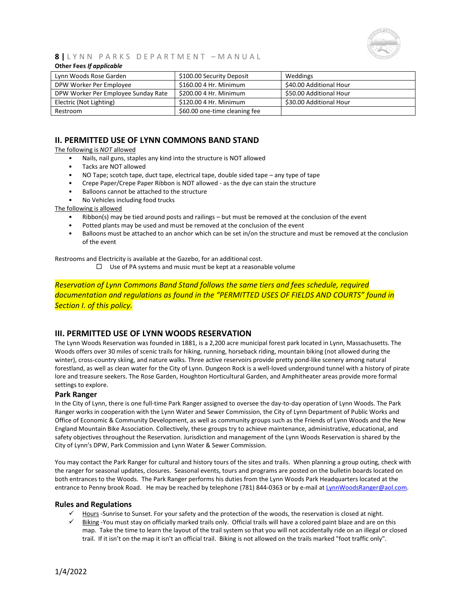

#### **Other Fees** *If applicable*

| Lynn Woods Rose Garden              | \$100.00 Security Deposit     | Weddings                |
|-------------------------------------|-------------------------------|-------------------------|
| DPW Worker Per Employee             | \$160.00 4 Hr. Minimum        | \$40.00 Additional Hour |
| DPW Worker Per Employee Sunday Rate | \$200.00 4 Hr. Minimum        | \$50.00 Additional Hour |
| Electric (Not Lighting)             | \$120.00 4 Hr. Minimum        | \$30.00 Additional Hour |
| Restroom                            | \$60.00 one-time cleaning fee |                         |

## **II. PERMITTED USE OF LYNN COMMONS BAND STAND**

The following is *NOT* allowed

- Nails, nail guns, staples any kind into the structure is NOT allowed
- Tacks are NOT allowed
- NO Tape; scotch tape, duct tape, electrical tape, double sided tape any type of tape
- Crepe Paper/Crepe Paper Ribbon is NOT allowed as the dye can stain the structure
- Balloons cannot be attached to the structure
- No Vehicles including food trucks

The following is allowed

- Ribbon(s) may be tied around posts and railings but must be removed at the conclusion of the event
- Potted plants may be used and must be removed at the conclusion of the event
- Balloons must be attached to an anchor which can be set in/on the structure and must be removed at the conclusion of the event

Restrooms and Electricity is available at the Gazebo, for an additional cost.

 $\Box$  Use of PA systems and music must be kept at a reasonable volume

*Reservation of Lynn Commons Band Stand follows the same tiers and fees schedule, required documentation and regulations as found in the "PERMITTED USES OF FIELDS AND COURTS" found in Section I. of this policy.*

## **III. PERMITTED USE OF LYNN WOODS RESERVATION**

The Lynn Woods Reservation was founded in 1881, is a 2,200 acre municipal forest park located in Lynn, Massachusetts. The Woods offers over 30 miles of scenic trails for hiking, running, horseback riding, mountain biking (not allowed during the winter), cross-country skiing, and nature walks. Three active reservoirs provide pretty pond-like scenery among natural forestland, as well as clean water for the City of Lynn. Dungeon Rock is a well-loved underground tunnel with a history of pirate lore and treasure seekers. The Rose Garden, Houghton Horticultural Garden, and Amphitheater areas provide more formal settings to explore.

#### **Park Ranger**

In the City of Lynn, there is one full-time Park Ranger assigned to oversee the day-to-day operation of Lynn Woods. The Park Ranger works in cooperation with the Lynn Water and Sewer Commission, the City of Lynn Department of Public Works and Office of Economic & Community Development, as well as community groups such as the Friends of Lynn Woods and the New England Mountain Bike Association. Collectively, these groups try to achieve maintenance, administrative, educational, and safety objectives throughout the Reservation. Jurisdiction and management of the Lynn Woods Reservation is shared by the City of Lynn's DPW, Park Commission and Lynn Water & Sewer Commission.

You may contact the Park Ranger for cultural and history tours of the sites and trails. When planning a group outing, check with the ranger for seasonal updates, closures. Seasonal events, tours and programs are posted on the bulletin boards located on both entrances to the Woods. The Park Ranger performs his duties from the Lynn Woods Park Headquarters located at the entrance to Penny brook Road. He may be reached by telephone (781) 844-0363 or by e-mail a[t LynnWoodsRanger@aol.com.](mailto:LynnWoodsRanger@aol.com)

#### **Rules and Regulations**

- ✓ Hours -Sunrise to Sunset. For your safety and the protection of the woods, the reservation is closed at night.
- ✓ Biking -You must stay on officially marked trails only. Official trails will have a colored paint blaze and are on this map. Take the time to learn the layout of the trail system so that you will not accidentally ride on an illegal or closed trail. If it isn't on the map it isn't an official trail. Biking is not allowed on the trails marked "foot traffic only".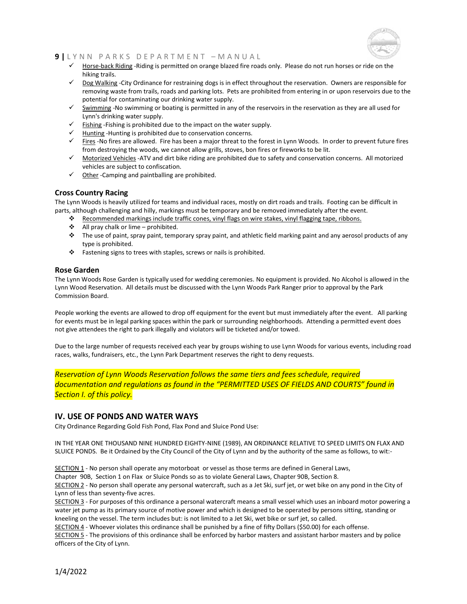

- ✓ Horse-back Riding -Riding is permitted on orange blazed fire roads only. Please do not run horses or ride on the hiking trails.
- ✓ Dog Walking -City Ordinance for restraining dogs is in effect throughout the reservation. Owners are responsible for removing waste from trails, roads and parking lots. Pets are prohibited from entering in or upon reservoirs due to the potential for contaminating our drinking water supply.
- ✓ Swimming -No swimming or boating is permitted in any of the reservoirs in the reservation as they are all used for Lynn's drinking water supply.
- $\checkmark$  Fishing -Fishing is prohibited due to the impact on the water supply.
- ✓ Hunting -Hunting is prohibited due to conservation concerns.
- Fires -No fires are allowed. Fire has been a major threat to the forest in Lynn Woods. In order to prevent future fires from destroying the woods, we cannot allow grills, stoves, bon fires or fireworks to be lit.
- ✓ Motorized Vehicles -ATV and dirt bike riding are prohibited due to safety and conservation concerns. All motorized vehicles are subject to confiscation.
- $\checkmark$  Other -Camping and paintballing are prohibited.

## **Cross Country Racing**

The Lynn Woods is heavily utilized for teams and individual races, mostly on dirt roads and trails. Footing can be difficult in parts, although challenging and hilly, markings must be temporary and be removed immediately after the event.

- ❖ Recommended markings include traffic cones, vinyl flags on wire stakes, vinyl flagging tape, ribbons.
- ❖ All pray chalk or lime prohibited.
- ❖ The use of paint, spray paint, temporary spray paint, and athletic field marking paint and any aerosol products of any type is prohibited.
- ❖ Fastening signs to trees with staples, screws or nails is prohibited.

## **Rose Garden**

The Lynn Woods Rose Garden is typically used for wedding ceremonies. No equipment is provided. No Alcohol is allowed in the Lynn Wood Reservation. All details must be discussed with the Lynn Woods Park Ranger prior to approval by the Park Commission Board.

People working the events are allowed to drop off equipment for the event but must immediately after the event. All parking for events must be in legal parking spaces within the park or surrounding neighborhoods. Attending a permitted event does not give attendees the right to park illegally and violators will be ticketed and/or towed.

Due to the large number of requests received each year by groups wishing to use Lynn Woods for various events, including road races, walks, fundraisers, etc., the Lynn Park Department reserves the right to deny requests.

*Reservation of Lynn Woods Reservation follows the same tiers and fees schedule, required documentation and regulations as found in the "PERMITTED USES OF FIELDS AND COURTS" found in Section I. of this policy.*

## **IV. USE OF PONDS AND WATER WAYS**

City Ordinance Regarding Gold Fish Pond, Flax Pond and Sluice Pond Use:

IN THE YEAR ONE THOUSAND NINE HUNDRED EIGHTY-NINE (1989), AN ORDINANCE RELATIVE TO SPEED LIMITS ON FLAX AND SLUICE PONDS. Be it Ordained by the City Council of the City of Lynn and by the authority of the same as follows, to wit:-

SECTION 1 - No person shall operate any motorboat or vessel as those terms are defined in General Laws,

Chapter 90B, Section 1 on Flax or Sluice Ponds so as to violate General Laws, Chapter 90B, Section 8.

SECTION 2 - No person shall operate any personal watercraft, such as a Jet Ski, surf jet, or wet bike on any pond in the City of Lynn of less than seventy-five acres.

SECTION 3 - For purposes of this ordinance a personal watercraft means a small vessel which uses an inboard motor powering a water jet pump as its primary source of motive power and which is designed to be operated by persons sitting, standing or kneeling on the vessel. The term includes but: is not limited to a Jet Ski, wet bike or surf jet, so called.

SECTION 4 - Whoever violates this ordinance shall be punished by a fine of fifty Dollars (\$50.00) for each offense. SECTION 5 - The provisions of this ordinance shall be enforced by harbor masters and assistant harbor masters and by police officers of the City of Lynn.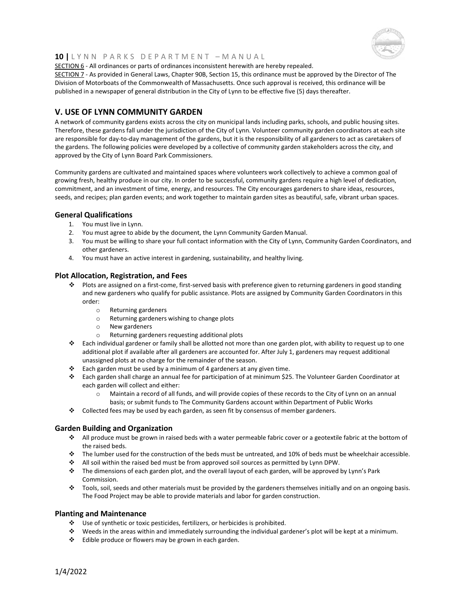

SECTION 6 - All ordinances or parts of ordinances inconsistent herewith are hereby repealed.

SECTION 7 - As provided in General Laws, Chapter 90B, Section 15, this ordinance must be approved by the Director of The Division of Motorboats of the Commonwealth of Massachusetts. Once such approval is received, this ordinance will be published in a newspaper of general distribution in the City of Lynn to be effective five (5) days thereafter.

## **V. USE OF LYNN COMMUNITY GARDEN**

A network of community gardens exists across the city on municipal lands including parks, schools, and public housing sites. Therefore, these gardens fall under the jurisdiction of the City of Lynn. Volunteer community garden coordinators at each site are responsible for day-to-day management of the gardens, but it is the responsibility of all gardeners to act as caretakers of the gardens. The following policies were developed by a collective of community garden stakeholders across the city, and approved by the City of Lynn Board Park Commissioners.

Community gardens are cultivated and maintained spaces where volunteers work collectively to achieve a common goal of growing fresh, healthy produce in our city. In order to be successful, community gardens require a high level of dedication, commitment, and an investment of time, energy, and resources. The City encourages gardeners to share ideas, resources, seeds, and recipes; plan garden events; and work together to maintain garden sites as beautiful, safe, vibrant urban spaces.

#### **General Qualifications**

- 1. You must live in Lynn.
- 2. You must agree to abide by the document, the Lynn Community Garden Manual.
- 3. You must be willing to share your full contact information with the City of Lynn, Community Garden Coordinators, and other gardeners.
- 4. You must have an active interest in gardening, sustainability, and healthy living.

## **Plot Allocation, Registration, and Fees**

- ❖ Plots are assigned on a first-come, first-served basis with preference given to returning gardeners in good standing and new gardeners who qualify for public assistance. Plots are assigned by Community Garden Coordinators in this order:
	- o Returning gardeners
	- o Returning gardeners wishing to change plots
	- o New gardeners
	- o Returning gardeners requesting additional plots
- ❖ Each individual gardener or family shall be allotted not more than one garden plot, with ability to request up to one additional plot if available after all gardeners are accounted for. After July 1, gardeners may request additional unassigned plots at no charge for the remainder of the season.
- ❖ Each garden must be used by a minimum of 4 gardeners at any given time.
- ❖ Each garden shall charge an annual fee for participation of at minimum \$25. The Volunteer Garden Coordinator at each garden will collect and either:
	- o Maintain a record of all funds, and will provide copies of these records to the City of Lynn on an annual basis; or submit funds to The Community Gardens account within Department of Public Works
- ❖ Collected fees may be used by each garden, as seen fit by consensus of member gardeners.

## **Garden Building and Organization**

- ❖ All produce must be grown in raised beds with a water permeable fabric cover or a geotextile fabric at the bottom of the raised beds.
- ❖ The lumber used for the construction of the beds must be untreated, and 10% of beds must be wheelchair accessible.
- ❖ All soil within the raised bed must be from approved soil sources as permitted by Lynn DPW.
- ❖ The dimensions of each garden plot, and the overall layout of each garden, will be approved by Lynn's Park Commission.
- ❖ Tools, soil, seeds and other materials must be provided by the gardeners themselves initially and on an ongoing basis. The Food Project may be able to provide materials and labor for garden construction.

## **Planting and Maintenance**

- ❖ Use of synthetic or toxic pesticides, fertilizers, or herbicides is prohibited.
- ❖ Weeds in the areas within and immediately surrounding the individual gardener's plot will be kept at a minimum.
- ❖ Edible produce or flowers may be grown in each garden.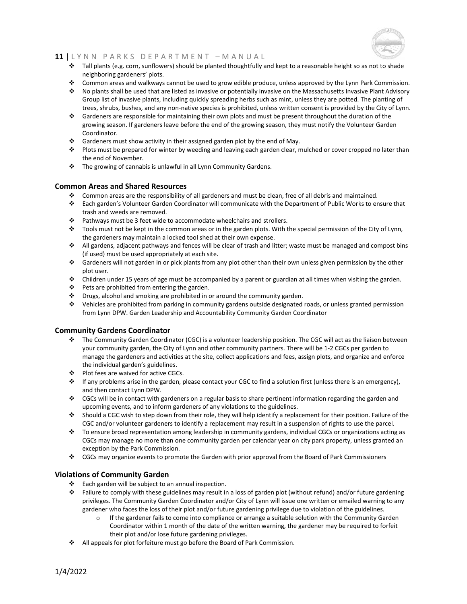

- ❖ Tall plants (e.g. corn, sunflowers) should be planted thoughtfully and kept to a reasonable height so as not to shade neighboring gardeners' plots.
- ❖ Common areas and walkways cannot be used to grow edible produce, unless approved by the Lynn Park Commission.
- ❖ No plants shall be used that are listed as invasive or potentially invasive on the Massachusetts Invasive Plant Advisory Group list of invasive plants, including quickly spreading herbs such as mint, unless they are potted. The planting of trees, shrubs, bushes, and any non-native species is prohibited, unless written consent is provided by the City of Lynn.
- ❖ Gardeners are responsible for maintaining their own plots and must be present throughout the duration of the growing season. If gardeners leave before the end of the growing season, they must notify the Volunteer Garden Coordinator.
- ❖ Gardeners must show activity in their assigned garden plot by the end of May.
- ❖ Plots must be prepared for winter by weeding and leaving each garden clear, mulched or cover cropped no later than the end of November.
- ❖ The growing of cannabis is unlawful in all Lynn Community Gardens.

## **Common Areas and Shared Resources**

- ❖ Common areas are the responsibility of all gardeners and must be clean, free of all debris and maintained.
- ❖ Each garden's Volunteer Garden Coordinator will communicate with the Department of Public Works to ensure that trash and weeds are removed.
- ❖ Pathways must be 3 feet wide to accommodate wheelchairs and strollers.
- ❖ Tools must not be kept in the common areas or in the garden plots. With the special permission of the City of Lynn, the gardeners may maintain a locked tool shed at their own expense.
- ❖ All gardens, adjacent pathways and fences will be clear of trash and litter; waste must be managed and compost bins (if used) must be used appropriately at each site.
- ❖ Gardeners will not garden in or pick plants from any plot other than their own unless given permission by the other plot user.
- ❖ Children under 15 years of age must be accompanied by a parent or guardian at all times when visiting the garden.
- ❖ Pets are prohibited from entering the garden.
- ❖ Drugs, alcohol and smoking are prohibited in or around the community garden.
- ❖ Vehicles are prohibited from parking in community gardens outside designated roads, or unless granted permission from Lynn DPW. Garden Leadership and Accountability Community Garden Coordinator

## **Community Gardens Coordinator**

- ❖ The Community Garden Coordinator (CGC) is a volunteer leadership position. The CGC will act as the liaison between your community garden, the City of Lynn and other community partners. There will be 1-2 CGCs per garden to manage the gardeners and activities at the site, collect applications and fees, assign plots, and organize and enforce the individual garden's guidelines.
- ❖ Plot fees are waived for active CGCs.
- ❖ If any problems arise in the garden, please contact your CGC to find a solution first (unless there is an emergency), and then contact Lynn DPW.
- ❖ CGCs will be in contact with gardeners on a regular basis to share pertinent information regarding the garden and upcoming events, and to inform gardeners of any violations to the guidelines.
- ❖ Should a CGC wish to step down from their role, they will help identify a replacement for their position. Failure of the CGC and/or volunteer gardeners to identify a replacement may result in a suspension of rights to use the parcel.
- ❖ To ensure broad representation among leadership in community gardens, individual CGCs or organizations acting as CGCs may manage no more than one community garden per calendar year on city park property, unless granted an exception by the Park Commission.
- ❖ CGCs may organize events to promote the Garden with prior approval from the Board of Park Commissioners

## **Violations of Community Garden**

- ❖ Each garden will be subject to an annual inspection.
- ❖ Failure to comply with these guidelines may result in a loss of garden plot (without refund) and/or future gardening privileges. The Community Garden Coordinator and/or City of Lynn will issue one written or emailed warning to any gardener who faces the loss of their plot and/or future gardening privilege due to violation of the guidelines.
	- $\circ$  If the gardener fails to come into compliance or arrange a suitable solution with the Community Garden Coordinator within 1 month of the date of the written warning, the gardener may be required to forfeit their plot and/or lose future gardening privileges.
- ❖ All appeals for plot forfeiture must go before the Board of Park Commission.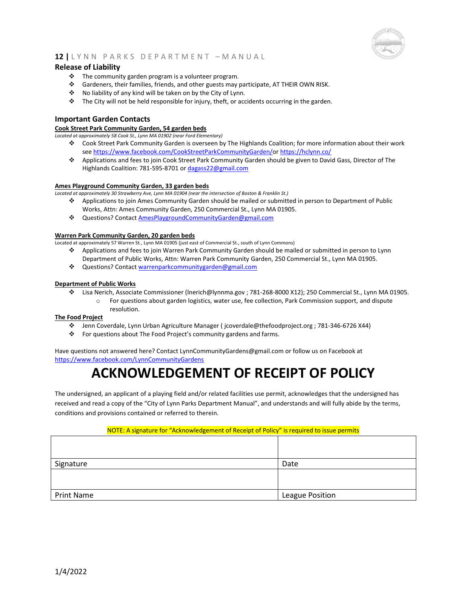

## **Release of Liability**

- ❖ The community garden program is a volunteer program.
- ❖ Gardeners, their families, friends, and other guests may participate, AT THEIR OWN RISK.
- ❖ No liability of any kind will be taken on by the City of Lynn.
- ❖ The City will not be held responsible for injury, theft, or accidents occurring in the garden.

## **Important Garden Contacts**

#### **Cook Street Park Community Garden, 54 garden beds**

*Located at approximately 58 Cook St., Lynn MA 01902 (near Ford Elementary)*

- ❖ Cook Street Park Community Garden is overseen by The Highlands Coalition; for more information about their work se[e https://www.facebook.com/CookStreetParkCommunityGarden/o](https://www.facebook.com/CookStreetParkCommunityGarden/)[r https://hclynn.co/](https://hclynn.co/)
- ❖ Applications and fees to join Cook Street Park Community Garden should be given to David Gass, Director of The Highlands Coalition: 781-595-8701 o[r dagass22@gmail.com](mailto:dagass22@gmail.com)

#### **Ames Playground Community Garden, 33 garden beds**

*Located at approximately 30 Strawberry Ave, Lynn MA 01904 (near the intersection of Boston & Franklin St.)*

- ❖ Applications to join Ames Community Garden should be mailed or submitted in person to Department of Public Works, Attn: Ames Community Garden, 250 Commercial St., Lynn MA 01905.
- ❖ Questions? Contac[t AmesPlaygroundCommunityGarden@gmail.com](mailto:AmesPlaygroundCommunityGarden@gmail.com)

#### **Warren Park Community Garden, 20 garden beds**

Located at approximately 57 Warren St., Lynn MA 01905 (just east of Commercial St., south of Lynn Commons)

- ❖ Applications and fees to join Warren Park Community Garden should be mailed or submitted in person to Lynn Department of Public Works, Attn: Warren Park Community Garden, 250 Commercial St., Lynn MA 01905.
- ❖ Questions? Contac[t warrenparkcommunitygarden@gmail.com](mailto:warrenparkcommunitygarden@gmail.com)

#### **Department of Public Works**

- ❖ Lisa Nerich, Associate Commissioner (lnerich@lynnma.gov ; 781-268-8000 X12); 250 Commercial St., Lynn MA 01905.
	- o For questions about garden logistics, water use, fee collection, Park Commission support, and dispute resolution.

#### **The Food Project**

- ❖ Jenn Coverdale, Lynn Urban Agriculture Manager ( jcoverdale@thefoodproject.org ; 781-346-6726 X44)
- ❖ For questions about The Food Project's community gardens and farms.

Have questions not answered here? Contact LynnCommunityGardens@gmail.com or follow us on Facebook at <https://www.facebook.com/LynnCommunityGardens>

## **ACKNOWLEDGEMENT OF RECEIPT OF POLICY**

The undersigned, an applicant of a playing field and/or related facilities use permit, acknowledges that the undersigned has received and read a copy of the "City of Lynn Parks Department Manual", and understands and will fully abide by the terms, conditions and provisions contained or referred to therein.

#### NOTE: A signature for "Acknowledgement of Receipt of Policy" is required to issue permits

| Signature  | Date                   |
|------------|------------------------|
|            |                        |
| Print Name | <b>League Position</b> |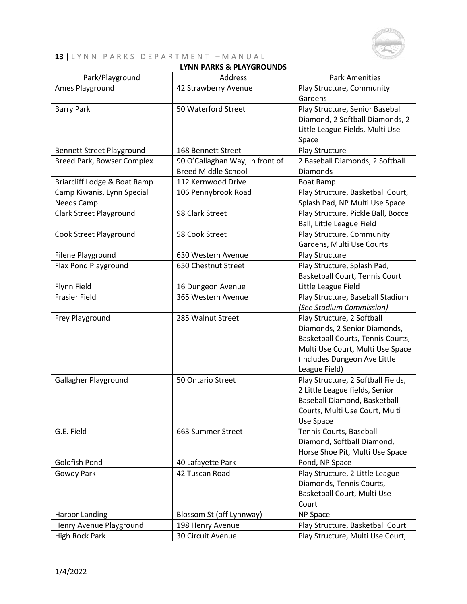

## **LYNN PARKS & PLAYGROUNDS**

| Park/Playground                  | Address                         | <b>Park Amenities</b>              |
|----------------------------------|---------------------------------|------------------------------------|
| Ames Playground                  | 42 Strawberry Avenue            | Play Structure, Community          |
|                                  |                                 | Gardens                            |
| <b>Barry Park</b>                | 50 Waterford Street             | Play Structure, Senior Baseball    |
|                                  |                                 | Diamond, 2 Softball Diamonds, 2    |
|                                  |                                 | Little League Fields, Multi Use    |
|                                  |                                 | Space                              |
| <b>Bennett Street Playground</b> | 168 Bennett Street              | Play Structure                     |
| Breed Park, Bowser Complex       | 90 O'Callaghan Way, In front of | 2 Baseball Diamonds, 2 Softball    |
|                                  | <b>Breed Middle School</b>      | <b>Diamonds</b>                    |
| Briarcliff Lodge & Boat Ramp     | 112 Kernwood Drive              | <b>Boat Ramp</b>                   |
| Camp Kiwanis, Lynn Special       | 106 Pennybrook Road             | Play Structure, Basketball Court,  |
| Needs Camp                       |                                 | Splash Pad, NP Multi Use Space     |
| Clark Street Playground          | 98 Clark Street                 | Play Structure, Pickle Ball, Bocce |
|                                  |                                 | Ball, Little League Field          |
| Cook Street Playground           | 58 Cook Street                  | Play Structure, Community          |
|                                  |                                 | Gardens, Multi Use Courts          |
| Filene Playground                | 630 Western Avenue              | Play Structure                     |
| Flax Pond Playground             | 650 Chestnut Street             | Play Structure, Splash Pad,        |
|                                  |                                 | Basketball Court, Tennis Court     |
| Flynn Field                      | 16 Dungeon Avenue               | Little League Field                |
| <b>Frasier Field</b>             | 365 Western Avenue              | Play Structure, Baseball Stadium   |
|                                  |                                 | (See Stadium Commission)           |
| Frey Playground                  | 285 Walnut Street               | Play Structure, 2 Softball         |
|                                  |                                 | Diamonds, 2 Senior Diamonds,       |
|                                  |                                 | Basketball Courts, Tennis Courts,  |
|                                  |                                 | Multi Use Court, Multi Use Space   |
|                                  |                                 | (Includes Dungeon Ave Little       |
|                                  |                                 | League Field)                      |
| Gallagher Playground             | 50 Ontario Street               | Play Structure, 2 Softball Fields, |
|                                  |                                 | 2 Little League fields, Senior     |
|                                  |                                 | Baseball Diamond, Basketball       |
|                                  |                                 | Courts, Multi Use Court, Multi     |
|                                  |                                 | Use Space                          |
| G.E. Field                       | 663 Summer Street               | Tennis Courts, Baseball            |
|                                  |                                 | Diamond, Softball Diamond,         |
|                                  |                                 | Horse Shoe Pit, Multi Use Space    |
| Goldfish Pond                    | 40 Lafayette Park               | Pond, NP Space                     |
| Gowdy Park                       | 42 Tuscan Road                  | Play Structure, 2 Little League    |
|                                  |                                 | Diamonds, Tennis Courts,           |
|                                  |                                 | Basketball Court, Multi Use        |
|                                  |                                 | Court                              |
| <b>Harbor Landing</b>            | Blossom St (off Lynnway)        | NP Space                           |
| Henry Avenue Playground          | 198 Henry Avenue                | Play Structure, Basketball Court   |
| <b>High Rock Park</b>            | 30 Circuit Avenue               | Play Structure, Multi Use Court,   |